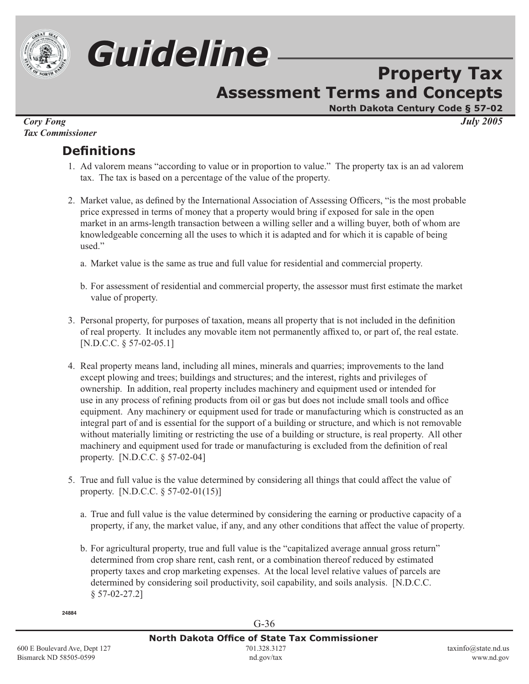

# *Guideline Guideline*

## **Property Tax Assessment Terms and Concepts**

**North Dakota Century Code § 57-02**

*Cory Fong July 2005 Tax Commissioner*

## **Defi nitions**

- 1. Ad valorem means "according to value or in proportion to value." The property tax is an ad valorem tax. The tax is based on a percentage of the value of the property.
- 2. Market value, as defined by the International Association of Assessing Officers, "is the most probable price expressed in terms of money that a property would bring if exposed for sale in the open market in an arms-length transaction between a willing seller and a willing buyer, both of whom are knowledgeable concerning all the uses to which it is adapted and for which it is capable of being used."
	- a. Market value is the same as true and full value for residential and commercial property.
	- b. For assessment of residential and commercial property, the assessor must first estimate the market value of property.
- 3. Personal property, for purposes of taxation, means all property that is not included in the definition of real property. It includes any movable item not permanently affixed to, or part of, the real estate. [N.D.C.C. § 57-02-05.1]
- 4. Real property means land, including all mines, minerals and quarries; improvements to the land except plowing and trees; buildings and structures; and the interest, rights and privileges of ownership. In addition, real property includes machinery and equipment used or intended for use in any process of refining products from oil or gas but does not include small tools and office equipment. Any machinery or equipment used for trade or manufacturing which is constructed as an integral part of and is essential for the support of a building or structure, and which is not removable without materially limiting or restricting the use of a building or structure, is real property. All other machinery and equipment used for trade or manufacturing is excluded from the definition of real property. [N.D.C.C. § 57-02-04]
- 5. True and full value is the value determined by considering all things that could affect the value of property. [N.D.C.C.  $\S 57-02-01(15)$ ]
	- a. True and full value is the value determined by considering the earning or productive capacity of a property, if any, the market value, if any, and any other conditions that affect the value of property.
	- b. For agricultural property, true and full value is the "capitalized average annual gross return" determined from crop share rent, cash rent, or a combination thereof reduced by estimated property taxes and crop marketing expenses. At the local level relative values of parcels are determined by considering soil productivity, soil capability, and soils analysis. [N.D.C.C. § 57-02-27.2]

G-36

**24884**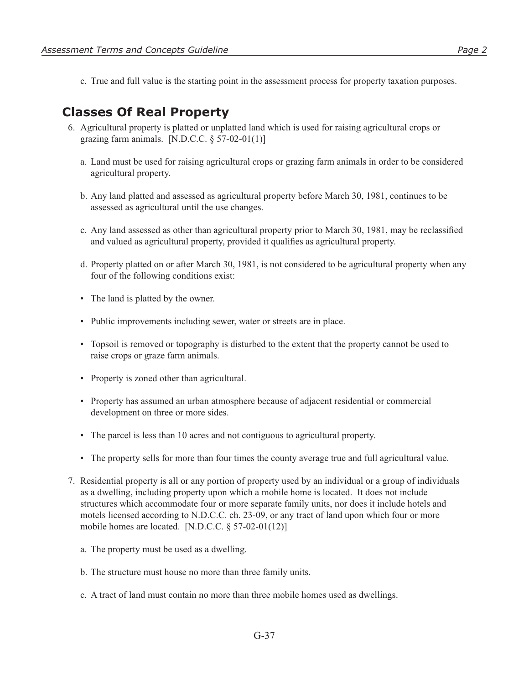c. True and full value is the starting point in the assessment process for property taxation purposes.

### **Classes Of Real Property**

- 6. Agricultural property is platted or unplatted land which is used for raising agricultural crops or grazing farm animals. [N.D.C.C.  $\S 57-02-01(1)$ ]
	- a. Land must be used for raising agricultural crops or grazing farm animals in order to be considered agricultural property.
	- b. Any land platted and assessed as agricultural property before March 30, 1981, continues to be assessed as agricultural until the use changes.
	- c. Any land assessed as other than agricultural property prior to March 30, 1981, may be reclassified and valued as agricultural property, provided it qualifies as agricultural property.
	- d. Property platted on or after March 30, 1981, is not considered to be agricultural property when any four of the following conditions exist:
	- The land is platted by the owner.
	- Public improvements including sewer, water or streets are in place.
	- Topsoil is removed or topography is disturbed to the extent that the property cannot be used to raise crops or graze farm animals.
	- Property is zoned other than agricultural.
	- Property has assumed an urban atmosphere because of adjacent residential or commercial development on three or more sides.
	- The parcel is less than 10 acres and not contiguous to agricultural property.
	- The property sells for more than four times the county average true and full agricultural value.
- 7. Residential property is all or any portion of property used by an individual or a group of individuals as a dwelling, including property upon which a mobile home is located. It does not include structures which accommodate four or more separate family units, nor does it include hotels and motels licensed according to N.D.C.C. ch. 23-09, or any tract of land upon which four or more mobile homes are located. [N.D.C.C. § 57-02-01(12)]
	- a. The property must be used as a dwelling.
	- b. The structure must house no more than three family units.
	- c. A tract of land must contain no more than three mobile homes used as dwellings.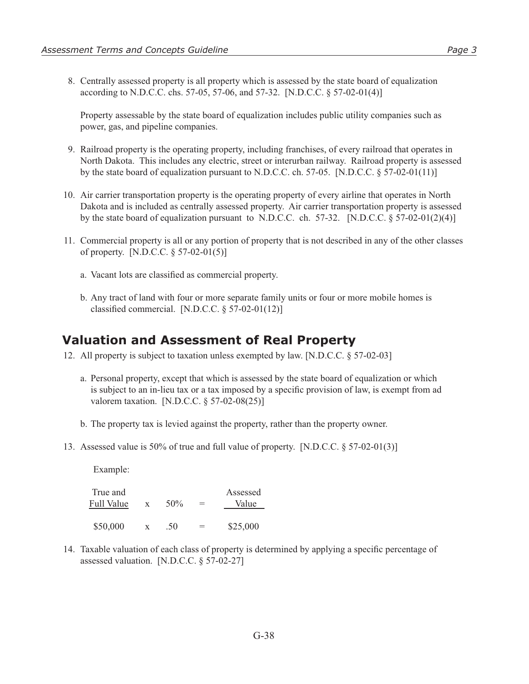8. Centrally assessed property is all property which is assessed by the state board of equalization according to N.D.C.C. chs. 57-05, 57-06, and 57-32. [N.D.C.C. § 57-02-01(4)]

 Property assessable by the state board of equalization includes public utility companies such as power, gas, and pipeline companies.

- 9. Railroad property is the operating property, including franchises, of every railroad that operates in North Dakota. This includes any electric, street or interurban railway. Railroad property is assessed by the state board of equalization pursuant to N.D.C.C. ch. 57-05. [N.D.C.C.  $\S 57-02-01(11)$ ]
- 10. Air carrier transportation property is the operating property of every airline that operates in North Dakota and is included as centrally assessed property. Air carrier transportation property is assessed by the state board of equalization pursuant to N.D.C.C. ch. 57-32. [N.D.C.C.  $\S 57-02-01(2)(4)$ ]
- 11. Commercial property is all or any portion of property that is not described in any of the other classes of property. [N.D.C.C. § 57-02-01(5)]
	- a. Vacant lots are classified as commercial property.
	- b. Any tract of land with four or more separate family units or four or more mobile homes is classified commercial. [N.D.C.C.  $\S 57-02-01(12)$ ]

#### **Valuation and Assessment of Real Property**

- 12. All property is subject to taxation unless exempted by law. [N.D.C.C. § 57-02-03]
	- a. Personal property, except that which is assessed by the state board of equalization or which is subject to an in-lieu tax or a tax imposed by a specific provision of law, is exempt from ad valorem taxation. [N.D.C.C.  $\S 57-02-08(25)$ ]
	- b. The property tax is levied against the property, rather than the property owner.
- 13. Assessed value is 50% of true and full value of property. [N.D.C.C. § 57-02-01(3)]

Example:

True and Assessed Full Value  $x = 50\% =$  Value  $$50,000 \quad x \quad .50 = $25,000$ 

14. Taxable valuation of each class of property is determined by applying a specific percentage of assessed valuation. [N.D.C.C. § 57-02-27]